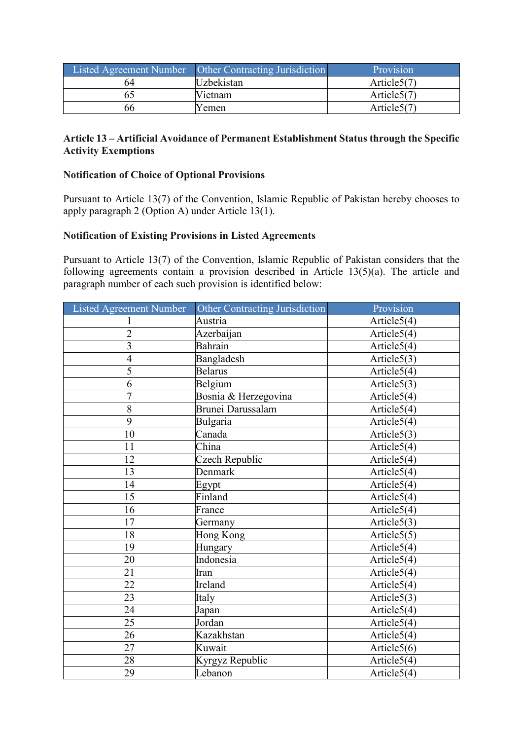|    | Listed Agreement Number   Other Contracting Jurisdiction | Provision      |
|----|----------------------------------------------------------|----------------|
| 64 | <b>Uzbekistan</b>                                        | Article $5(7)$ |
|    | Vietnam                                                  | Article $5(7)$ |
| 66 | Yemen                                                    | Article5(7)    |

### **Article 13 – Artificial Avoidance of Permanent Establishment Status through the Specific Activity Exemptions**

#### **Notification of Choice of Optional Provisions**

Pursuant to Article 13(7) of the Convention, Islamic Republic of Pakistan hereby chooses to apply paragraph 2 (Option A) under Article 13(1).

### **Notification of Existing Provisions in Listed Agreements**

Pursuant to Article 13(7) of the Convention, Islamic Republic of Pakistan considers that the following agreements contain a provision described in Article 13(5)(a). The article and paragraph number of each such provision is identified below:

| <b>Listed Agreement Number</b> | <b>Other Contracting Jurisdiction</b> | Provision                |
|--------------------------------|---------------------------------------|--------------------------|
| $\mathbf{1}$                   | Austria                               | Article5(4)              |
| $\overline{2}$                 | Azerbaijan                            | Article5(4)              |
| 3                              | Bahrain                               | $\overline{Article5(4)}$ |
| $\overline{4}$                 | Bangladesh                            | Article $5(3)$           |
| 5                              | <b>Belarus</b>                        | Article $5(4)$           |
| $\overline{6}$                 | Belgium                               | Article5(3)              |
| $\overline{7}$                 | Bosnia & Herzegovina                  | Article $5(4)$           |
| $\overline{8}$                 | Brunei Darussalam                     | Article5(4)              |
| $\overline{9}$                 | Bulgaria                              | Article5(4)              |
| 10                             | Canada                                | Article5(3)              |
| 11                             | China                                 | Article5(4)              |
| 12                             | Czech Republic                        | Article5(4)              |
| 13                             | Denmark                               | Article5(4)              |
| 14                             | Egypt                                 | Article5(4)              |
| 15                             | Finland                               | Article5(4)              |
| 16                             | France                                | Article5(4)              |
| 17                             | Germany                               | Article $5(3)$           |
| 18                             | Hong Kong                             | Article $5(5)$           |
| 19                             | Hungary                               | Article5(4)              |
| 20                             | Indonesia                             | Article5(4)              |
| 21                             | Iran                                  | Article5(4)              |
| 22                             | Ireland                               | Article5(4)              |
| 23                             | Italy                                 | Article5(3)              |
| 24                             | Japan                                 | Article5(4)              |
| 25                             | Jordan                                | Article5(4)              |
| 26                             | Kazakhstan                            | Article5(4)              |
| 27                             | Kuwait                                | Article5(6)              |
| 28                             | Kyrgyz Republic                       | Article5(4)              |
| 29                             | Lebanon                               | Article5(4)              |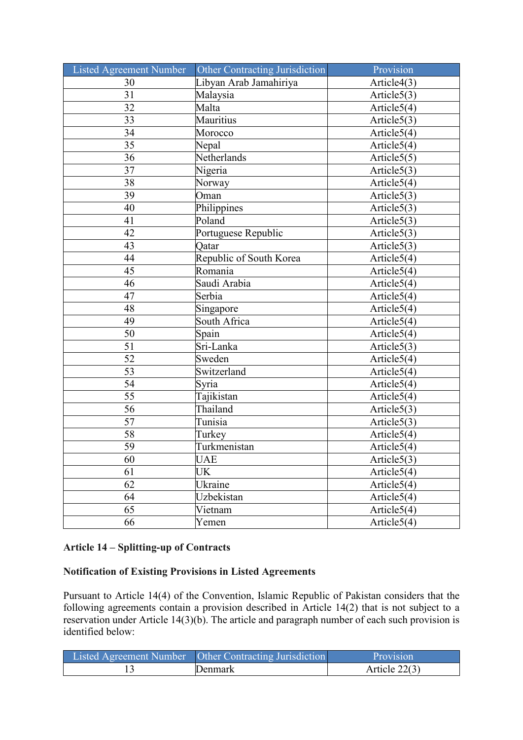| Listed Agreement Number | Other Contracting Jurisdiction | Provision                       |
|-------------------------|--------------------------------|---------------------------------|
| 30                      | Libyan Arab Jamahiriya         | Article4(3)                     |
| 31                      | Malaysia                       | Article $5(3)$                  |
| 32                      | Malta                          | Article $5(4)$                  |
| 33                      | Mauritius                      | Article $5(3)$                  |
| 34                      | Morocco                        | Article5(4)                     |
| 35                      | Nepal                          | Article5(4)                     |
| 36                      | Netherlands                    | Article5(5)                     |
| 37                      | Nigeria                        | Article $5(3)$                  |
| 38                      | Norway                         | Article5(4)                     |
| 39                      | Oman                           | Article $5(3)$                  |
| 40                      | Philippines                    | Article $5(3)$                  |
| 41                      | Poland                         | Article5(3)                     |
| 42                      | Portuguese Republic            | Article $5(3)$                  |
| 43                      | Qatar                          | $\overline{\text{Article5}}(3)$ |
| 44                      | Republic of South Korea        | Article5(4)                     |
| 45                      | Romania                        | Article $5(4)$                  |
| 46                      | Saudi Arabia                   | Article5(4)                     |
| 47                      | Serbia                         | Article5(4)                     |
| 48                      | Singapore                      | Article5(4)                     |
| 49                      | South Africa                   | Article5(4)                     |
| 50                      | Spain                          | Article5(4)                     |
| 51                      | Sri-Lanka                      | $\overline{\text{Article5}}(3)$ |
| 52                      | Sweden                         | Article $5(4)$                  |
| 53                      | Switzerland                    | Article $5(4)$                  |
| 54                      | Syria                          | Article5(4)                     |
| 55                      | Tajikistan                     | Article5(4)                     |
| $\overline{56}$         | Thailand                       | Article5(3)                     |
| 57                      | Tunisia                        | Article $5(3)$                  |
| 58                      | Turkey                         | Article5(4)                     |
| 59                      | Turkmenistan                   | Article5(4)                     |
| 60                      | <b>UAE</b>                     | Article5(3)                     |
| 61                      | <b>UK</b>                      | Article $5(4)$                  |
| 62                      | Ukraine                        | Article5(4)                     |
| 64                      | Uzbekistan                     | Article $5(4)$                  |
| 65                      | Vietnam                        | Article $5(4)$                  |
| 66                      | Yemen                          | Article $5(4)$                  |

### **Article 14 – Splitting-up of Contracts**

### **Notification of Existing Provisions in Listed Agreements**

Pursuant to Article 14(4) of the Convention, Islamic Republic of Pakistan considers that the following agreements contain a provision described in Article 14(2) that is not subject to a reservation under Article 14(3)(b). The article and paragraph number of each such provision is identified below:

| Listed Agreement Number   Other Contracting Jurisdiction | Provision       |
|----------------------------------------------------------|-----------------|
| <b>J</b> enmark                                          | Article $22(3)$ |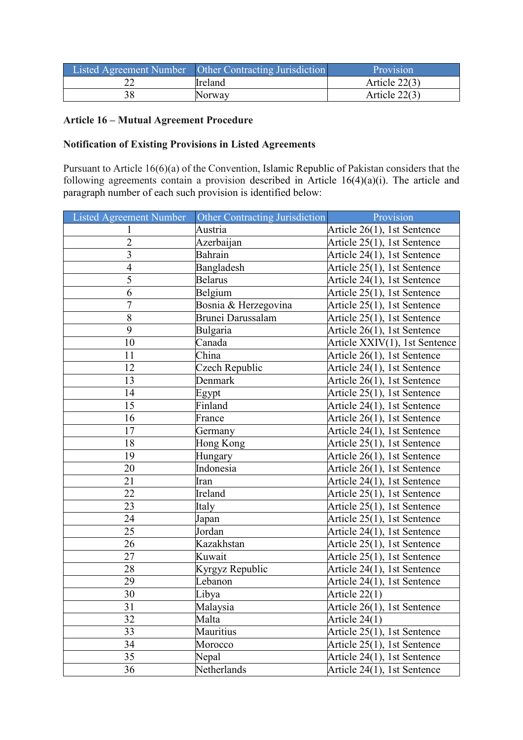|    | Listed Agreement Number   Other Contracting Jurisdiction | Provision       |
|----|----------------------------------------------------------|-----------------|
|    | Ireland                                                  | Article 22(3)   |
| 38 | Norway                                                   | Article $22(3)$ |

### **Article 16 – Mutual Agreement Procedure**

# **Notification of Existing Provisions in Listed Agreements**

Pursuant to Article 16(6)(a) of the Convention, Islamic Republic of Pakistan considers that the following agreements contain a provision described in Article 16(4)(a)(i). The article and paragraph number of each such provision is identified below:

| Listed Agreement Number | Other Contracting Jurisdiction | Provision                     |
|-------------------------|--------------------------------|-------------------------------|
| $\mathbf{1}$            | Austria                        | Article 26(1), 1st Sentence   |
| $\overline{c}$          | Azerbaijan                     | Article 25(1), 1st Sentence   |
| $\overline{3}$          | Bahrain                        | Article 24(1), 1st Sentence   |
| $\overline{4}$          | Bangladesh                     | Article 25(1), 1st Sentence   |
| 5                       | <b>Belarus</b>                 | Article 24(1), 1st Sentence   |
| 6                       | Belgium                        | Article 25(1), 1st Sentence   |
| $\overline{7}$          | Bosnia & Herzegovina           | Article 25(1), 1st Sentence   |
| $\overline{8}$          | Brunei Darussalam              | Article 25(1), 1st Sentence   |
| 9                       | Bulgaria                       | Article 26(1), 1st Sentence   |
| 10                      | Canada                         | Article XXIV(1), 1st Sentence |
| 11                      | China                          | Article 26(1), 1st Sentence   |
| 12                      | Czech Republic                 | Article 24(1), 1st Sentence   |
| 13                      | Denmark                        | Article 26(1), 1st Sentence   |
| 14                      | Egypt                          | Article 25(1), 1st Sentence   |
| 15                      | Finland                        | Article 24(1), 1st Sentence   |
| 16                      | France                         | Article 26(1), 1st Sentence   |
| 17                      | Germany                        | Article 24(1), 1st Sentence   |
| 18                      | Hong Kong                      | Article 25(1), 1st Sentence   |
| 19                      | Hungary                        | Article 26(1), 1st Sentence   |
| 20                      | Indonesia                      | Article 26(1), 1st Sentence   |
| 21                      | Iran                           | Article 24(1), 1st Sentence   |
| 22                      | Ireland                        | Article 25(1), 1st Sentence   |
| 23                      | Italy                          | Article 25(1), 1st Sentence   |
| 24                      | Japan                          | Article 25(1), 1st Sentence   |
| 25                      | Jordan                         | Article 24(1), 1st Sentence   |
| 26                      | Kazakhstan                     | Article 25(1), 1st Sentence   |
| 27                      | Kuwait                         | Article 25(1), 1st Sentence   |
| 28                      | Kyrgyz Republic                | Article 24(1), 1st Sentence   |
| 29                      | Lebanon                        | Article 24(1), 1st Sentence   |
| 30                      | Libya                          | Article $22(1)$               |
| 31                      | Malaysia                       | Article 26(1), 1st Sentence   |
| 32                      | Malta                          | Article 24(1)                 |
| 33                      | Mauritius                      | Article 25(1), 1st Sentence   |
| 34                      | Morocco                        | Article 25(1), 1st Sentence   |
| 35                      | Nepal                          | Article 24(1), 1st Sentence   |
| 36                      | Netherlands                    | Article 24(1), 1st Sentence   |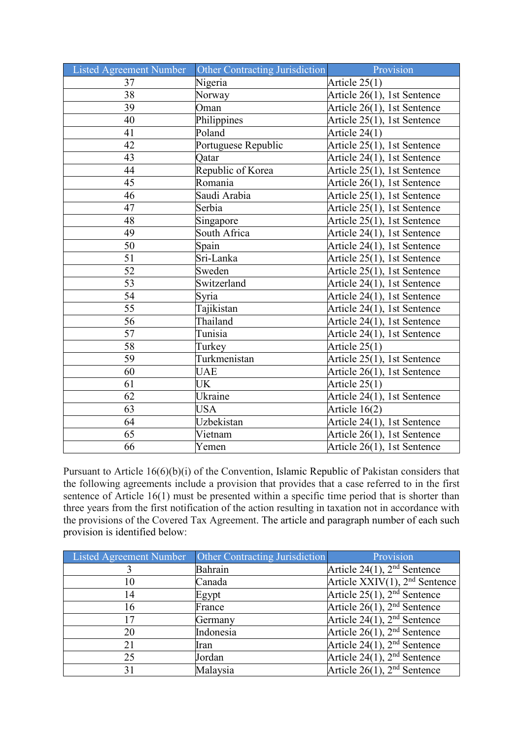| Listed Agreement Number | Other Contracting Jurisdiction | Provision                   |
|-------------------------|--------------------------------|-----------------------------|
| 37                      | Nigeria                        | Article $25(1)$             |
| 38                      | Norway                         | Article 26(1), 1st Sentence |
| 39                      | Oman                           | Article 26(1), 1st Sentence |
| 40                      | Philippines                    | Article 25(1), 1st Sentence |
| 41                      | Poland                         | Article $24(1)$             |
| $\overline{42}$         | Portuguese Republic            | Article 25(1), 1st Sentence |
| 43                      | Qatar                          | Article 24(1), 1st Sentence |
| 44                      | Republic of Korea              | Article 25(1), 1st Sentence |
| 45                      | Romania                        | Article 26(1), 1st Sentence |
| 46                      | Saudi Arabia                   | Article 25(1), 1st Sentence |
| 47                      | Serbia                         | Article 25(1), 1st Sentence |
| 48                      | Singapore                      | Article 25(1), 1st Sentence |
| 49                      | South Africa                   | Article 24(1), 1st Sentence |
| 50                      | Spain                          | Article 24(1), 1st Sentence |
| 51                      | Sri-Lanka                      | Article 25(1), 1st Sentence |
| 52                      | Sweden                         | Article 25(1), 1st Sentence |
| $\overline{53}$         | Switzerland                    | Article 24(1), 1st Sentence |
| 54                      | Syria                          | Article 24(1), 1st Sentence |
| 55                      | Tajikistan                     | Article 24(1), 1st Sentence |
| $\overline{56}$         | Thailand                       | Article 24(1), 1st Sentence |
| $\overline{57}$         | Tunisia                        | Article 24(1), 1st Sentence |
| 58                      | Turkey                         | Article $25(1)$             |
| 59                      | Turkmenistan                   | Article 25(1), 1st Sentence |
| 60                      | <b>UAE</b>                     | Article 26(1), 1st Sentence |
| 61                      | UK                             | Article $25(1)$             |
| 62                      | Ukraine                        | Article 24(1), 1st Sentence |
| 63                      | <b>USA</b>                     | Article $16(2)$             |
| 64                      | Uzbekistan                     | Article 24(1), 1st Sentence |
| 65                      | Vietnam                        | Article 26(1), 1st Sentence |
| 66                      | Yemen                          | Article 26(1), 1st Sentence |

Pursuant to Article 16(6)(b)(i) of the Convention, Islamic Republic of Pakistan considers that the following agreements include a provision that provides that a case referred to in the first sentence of Article 16(1) must be presented within a specific time period that is shorter than three years from the first notification of the action resulting in taxation not in accordance with the provisions of the Covered Tax Agreement. The article and paragraph number of each such provision is identified below:

| Listed Agreement Number | Other Contracting Jurisdiction | Provision                               |
|-------------------------|--------------------------------|-----------------------------------------|
|                         | Bahrain                        | Article 24(1), $2nd$ Sentence           |
| 10                      | Canada                         | Article $XXIV(1)$ , $2nd$ Sentence      |
| 14                      | Egypt                          | Article $25(1)$ , $2nd$ Sentence        |
| 16                      | France                         | Article $26(1)$ , $2nd$ Sentence        |
| 17                      | Germany                        | Article 24(1), $2nd$ Sentence           |
| 20                      | Indonesia                      | Article $26(1)$ , $2nd$ Sentence        |
| 21                      | Iran                           | Article 24(1), $2nd$ Sentence           |
| 25                      | Jordan                         | Article 24(1), $2nd$ Sentence           |
| 31                      | Malaysia                       | Article 26(1), 2 <sup>nd</sup> Sentence |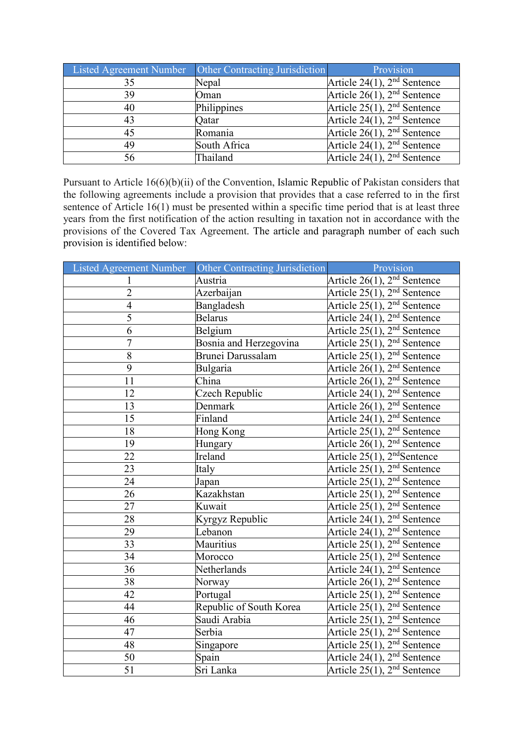| Listed Agreement Number | Other Contracting Jurisdiction | Provision                        |
|-------------------------|--------------------------------|----------------------------------|
| 35                      | Nepal                          | Article 24(1), $2nd$ Sentence    |
| 39                      | Oman                           | Article $26(1)$ , $2nd$ Sentence |
| 40                      | Philippines                    | Article $25(1)$ , $2nd$ Sentence |
| 43                      | Qatar                          | Article $24(1)$ , $2nd$ Sentence |
| 45                      | Romania                        | Article $26(1)$ , $2nd$ Sentence |
| 49                      | South Africa                   | Article $24(1)$ , $2nd$ Sentence |
| 56                      | Thailand                       | Article $24(1)$ , $2nd$ Sentence |

Pursuant to Article 16(6)(b)(ii) of the Convention, Islamic Republic of Pakistan considers that the following agreements include a provision that provides that a case referred to in the first sentence of Article 16(1) must be presented within a specific time period that is at least three years from the first notification of the action resulting in taxation not in accordance with the provisions of the Covered Tax Agreement. The article and paragraph number of each such provision is identified below:

| Listed Agreement Number | Other Contracting Jurisdiction | Provision                               |
|-------------------------|--------------------------------|-----------------------------------------|
| 1                       | Austria                        | Article $26(1)$ , $2nd$ Sentence        |
| $\overline{2}$          | Azerbaijan                     | Article 25(1), 2 <sup>nd</sup> Sentence |
| $\overline{4}$          | Bangladesh                     | Article 25(1), 2 <sup>nd</sup> Sentence |
| $\overline{5}$          | <b>Belarus</b>                 | Article $24(1)$ , $2nd$ Sentence        |
| 6                       | Belgium                        | Article $25(1)$ , $2nd$ Sentence        |
| $\overline{7}$          | Bosnia and Herzegovina         | Article $25(1)$ , $2nd$ Sentence        |
| 8                       | Brunei Darussalam              | Article $25(1)$ , $2nd$ Sentence        |
| $\overline{9}$          | Bulgaria                       | Article $26(1)$ , $2nd$ Sentence        |
| 11                      | China                          | Article $26(1)$ , $2nd$ Sentence        |
| 12                      | Czech Republic                 | Article $24(1)$ , $2nd$ Sentence        |
| 13                      | Denmark                        | Article 26(1), $2nd$ Sentence           |
| 15                      | Finland                        | Article 24(1), $2nd$ Sentence           |
| 18                      | Hong Kong                      | Article $25(1)$ , $2nd$ Sentence        |
| 19                      | Hungary                        | Article 26(1), 2 <sup>nd</sup> Sentence |
| 22                      | Ireland                        | Article 25(1), 2 <sup>nd</sup> Sentence |
| 23                      | Italy                          | Article 25(1), 2 <sup>nd</sup> Sentence |
| 24                      | Japan                          | Article 25(1), 2 <sup>nd</sup> Sentence |
| 26                      | Kazakhstan                     | Article $25(1)$ , $2nd$ Sentence        |
| 27                      | Kuwait                         | Article $25(1)$ , $2nd$ Sentence        |
| 28                      | Kyrgyz Republic                | Article 24(1), 2 <sup>nd</sup> Sentence |
| 29                      | Lebanon                        | Article $24(1)$ , $2nd$ Sentence        |
| 33                      | Mauritius                      | Article $25(1)$ , $2nd$ Sentence        |
| 34                      | Morocco                        | Article $25(1)$ , $2nd$ Sentence        |
| 36                      | Netherlands                    | Article 24(1), 2 <sup>nd</sup> Sentence |
| 38                      | Norway                         | Article $26(1)$ , $2nd$ Sentence        |
| 42                      | Portugal                       | Article 25(1), 2 <sup>nd</sup> Sentence |
| 44                      | Republic of South Korea        | Article 25(1), 2 <sup>nd</sup> Sentence |
| 46                      | Saudi Arabia                   | Article $25(1)$ , $2nd$ Sentence        |
| 47                      | Serbia                         | Article $25(1)$ , $2nd$ Sentence        |
| 48                      | Singapore                      | Article $25(1)$ , $2nd$ Sentence        |
| 50                      | Spain                          | Article 24(1), 2 <sup>nd</sup> Sentence |
| 51                      | Sri Lanka                      | Article $25(1)$ , $2nd$ Sentence        |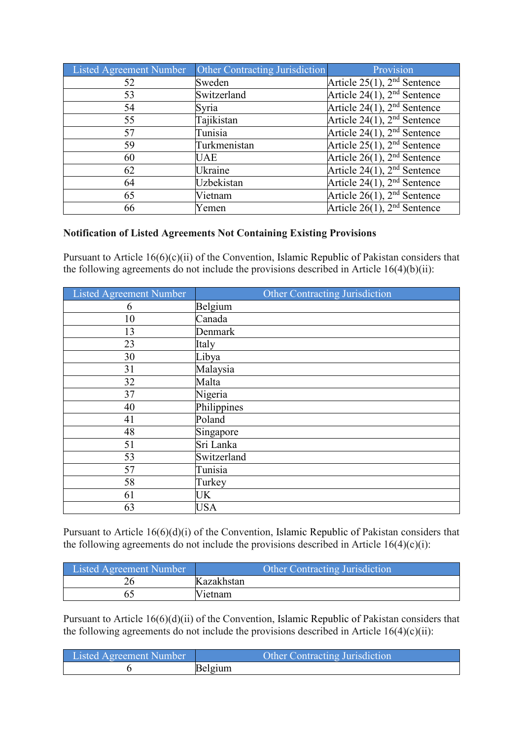| Listed Agreement Number | <b>Other Contracting Jurisdiction</b> | Provision                               |
|-------------------------|---------------------------------------|-----------------------------------------|
| 52                      | Sweden                                | Article $25(1)$ , $2nd$ Sentence        |
| 53                      | Switzerland                           | Article $24(1)$ , $2nd$ Sentence        |
| 54                      | Syria                                 | Article $24(1)$ , $2nd$ Sentence        |
| 55                      | Tajikistan                            | Article 24(1), 2 <sup>nd</sup> Sentence |
| 57                      | Tunisia                               | Article $24(1)$ , $2nd$ Sentence        |
| 59                      | Turkmenistan                          | Article $25(1)$ , $2nd$ Sentence        |
| 60                      | UAE                                   | Article $26(1)$ , $2nd$ Sentence        |
| 62                      | Ukraine                               | Article $24(1)$ , $2nd$ Sentence        |
| 64                      | Uzbekistan                            | Article $24(1)$ , $2nd$ Sentence        |
| 65                      | Vietnam                               | Article $26(1)$ , $2nd$ Sentence        |
| 66                      | Yemen                                 | Article $26(1)$ , $2nd$ Sentence        |

### **Notification of Listed Agreements Not Containing Existing Provisions**

Pursuant to Article 16(6)(c)(ii) of the Convention, Islamic Republic of Pakistan considers that the following agreements do not include the provisions described in Article 16(4)(b)(ii):

| Listed Agreement Number | <b>Other Contracting Jurisdiction</b> |
|-------------------------|---------------------------------------|
| 6                       | Belgium                               |
| 10                      | Canada                                |
| 13                      | Denmark                               |
| 23                      | Italy                                 |
| 30                      | Libya                                 |
| 31                      | Malaysia                              |
| 32                      | Malta                                 |
| 37                      | Nigeria                               |
| 40                      | Philippines                           |
| 41                      | Poland                                |
| 48                      | Singapore                             |
| 51                      | Sri Lanka                             |
| 53                      | Switzerland                           |
| 57                      | Tunisia                               |
| 58                      | Turkey                                |
| 61                      | <b>UK</b>                             |
| 63                      | <b>USA</b>                            |

Pursuant to Article 16(6)(d)(i) of the Convention, Islamic Republic of Pakistan considers that the following agreements do not include the provisions described in Article  $16(4)(c)(i)$ :

| Listed Agreement Number | Other Contracting Jurisdiction |
|-------------------------|--------------------------------|
|                         | Kazakhstan                     |
|                         | Vietnam                        |

Pursuant to Article 16(6)(d)(ii) of the Convention, Islamic Republic of Pakistan considers that the following agreements do not include the provisions described in Article  $16(4)(c)(ii)$ :

| <b>Listed Agreement Number</b> | <b>Other Contracting Jurisdiction</b> |
|--------------------------------|---------------------------------------|
|                                | Belgium                               |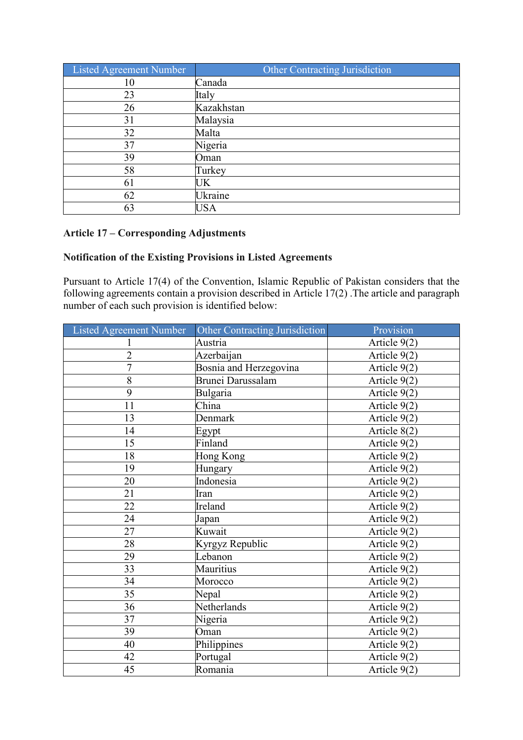| Listed Agreement Number | Other Contracting Jurisdiction |
|-------------------------|--------------------------------|
| 10                      | Canada                         |
| 23                      | Italy                          |
| 26                      | Kazakhstan                     |
| 31                      | Malaysia                       |
| 32                      | Malta                          |
| 37                      | Nigeria                        |
| 39                      | Oman                           |
| 58                      | Turkey                         |
| 61                      | UK                             |
| 62                      | Ukraine                        |
| 63                      | USA                            |

## **Article 17 – Corresponding Adjustments**

# **Notification of the Existing Provisions in Listed Agreements**

Pursuant to Article 17(4) of the Convention, Islamic Republic of Pakistan considers that the following agreements contain a provision described in Article 17(2) .The article and paragraph number of each such provision is identified below:

| <b>Listed Agreement Number</b> | Other Contracting Jurisdiction | Provision      |
|--------------------------------|--------------------------------|----------------|
| 1                              | Austria                        | Article 9(2)   |
| $\overline{c}$                 | Azerbaijan                     | Article 9(2)   |
| $\overline{7}$                 | Bosnia and Herzegovina         | Article 9(2)   |
| 8                              | Brunei Darussalam              | Article 9(2)   |
| 9                              | Bulgaria                       | Article 9(2)   |
| 11                             | China                          | Article 9(2)   |
| 13                             | Denmark                        | Article 9(2)   |
| 14                             | Egypt                          | Article 8(2)   |
| 15                             | Finland                        | Article 9(2)   |
| 18                             | Hong Kong                      | Article 9(2)   |
| 19                             | Hungary                        | Article 9(2)   |
| 20                             | Indonesia                      | Article 9(2)   |
| 21                             | Iran                           | Article 9(2)   |
| 22                             | Ireland                        | Article 9(2)   |
| 24                             | Japan                          | Article 9(2)   |
| 27                             | Kuwait                         | Article 9(2)   |
| 28                             | Kyrgyz Republic                | Article 9(2)   |
| 29                             | Lebanon                        | Article 9(2)   |
| 33                             | Mauritius                      | Article 9(2)   |
| 34                             | Morocco                        | Article 9(2)   |
| 35                             | Nepal                          | Article 9(2)   |
| 36                             | Netherlands                    | Article 9(2)   |
| 37                             | Nigeria                        | Article $9(2)$ |
| 39                             | Oman                           | Article 9(2)   |
| 40                             | Philippines                    | Article 9(2)   |
| 42                             | Portugal                       | Article 9(2)   |
| 45                             | Romania                        | Article 9(2)   |